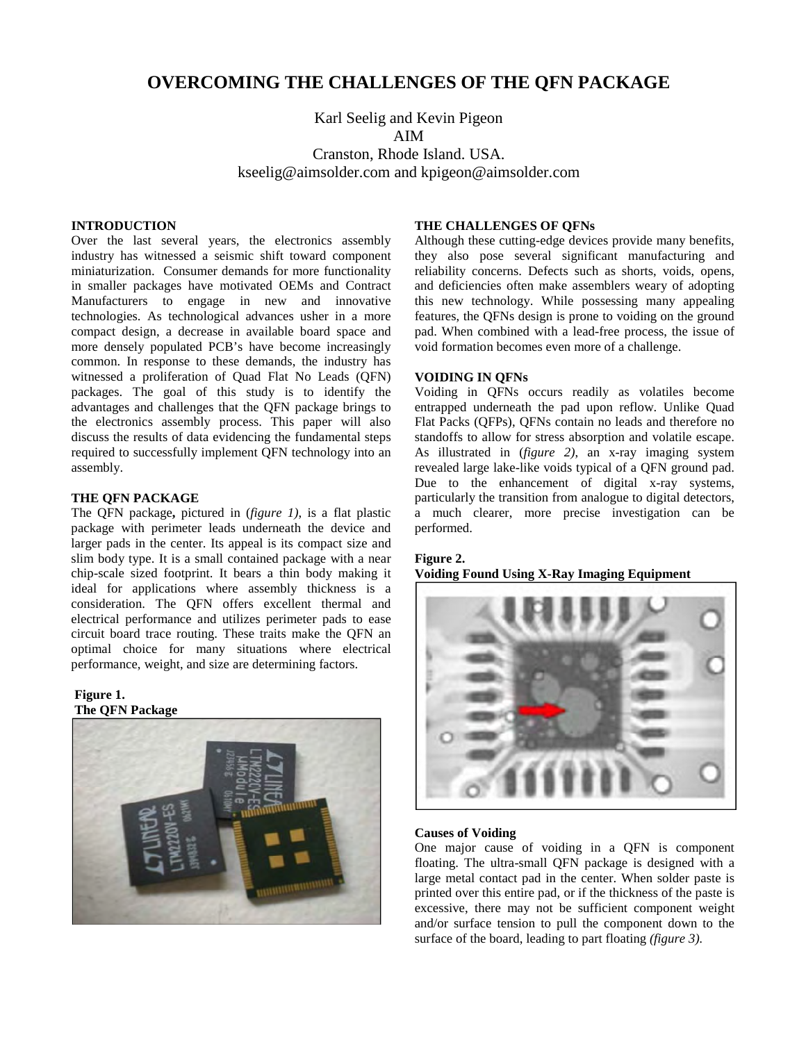# **OVERCOMING THE CHALLENGES OF THE QFN PACKAGE**

Karl Seelig and Kevin Pigeon AIM

Cranston, Rhode Island. USA. kseelig@aimsolder.com and kpigeon@aimsolder.com

# **INTRODUCTION**

Over the last several years, the electronics assembly industry has witnessed a seismic shift toward component miniaturization. Consumer demands for more functionality in smaller packages have motivated OEMs and Contract Manufacturers to engage in new and innovative technologies. As technological advances usher in a more compact design, a decrease in available board space and more densely populated PCB's have become increasingly common. In response to these demands, the industry has witnessed a proliferation of Quad Flat No Leads (QFN) packages. The goal of this study is to identify the advantages and challenges that the QFN package brings to the electronics assembly process. This paper will also discuss the results of data evidencing the fundamental steps required to successfully implement QFN technology into an assembly.

# **THE QFN PACKAGE**

The QFN package**,** pictured in (*figure 1)*, is a flat plastic package with perimeter leads underneath the device and larger pads in the center. Its appeal is its compact size and slim body type. It is a small contained package with a near chip-scale sized footprint. It bears a thin body making it ideal for applications where assembly thickness is a consideration. The QFN offers excellent thermal and electrical performance and utilizes perimeter pads to ease circuit board trace routing. These traits make the QFN an optimal choice for many situations where electrical performance, weight, and size are determining factors.

# **Figure 1. The QFN Package**



# **THE CHALLENGES OF QFNs**

Although these cutting-edge devices provide many benefits, they also pose several significant manufacturing and reliability concerns. Defects such as shorts, voids, opens, and deficiencies often make assemblers weary of adopting this new technology. While possessing many appealing features, the QFNs design is prone to voiding on the ground pad. When combined with a lead-free process, the issue of void formation becomes even more of a challenge.

# **VOIDING IN QFNs**

Voiding in QFNs occurs readily as volatiles become entrapped underneath the pad upon reflow. Unlike Quad Flat Packs (QFPs), QFNs contain no leads and therefore no standoffs to allow for stress absorption and volatile escape. As illustrated in (*figure 2)*, an x-ray imaging system revealed large lake-like voids typical of a QFN ground pad. Due to the enhancement of digital x-ray systems, particularly the transition from analogue to digital detectors, a much clearer, more precise investigation can be performed.

# **Figure 2.**

**Voiding Found Using X-Ray Imaging Equipment**



#### **Causes of Voiding**

One major cause of voiding in a QFN is component floating. The ultra-small QFN package is designed with a large metal contact pad in the center. When solder paste is printed over this entire pad, or if the thickness of the paste is excessive, there may not be sufficient component weight and/or surface tension to pull the component down to the surface of the board, leading to part floating *(figure 3).*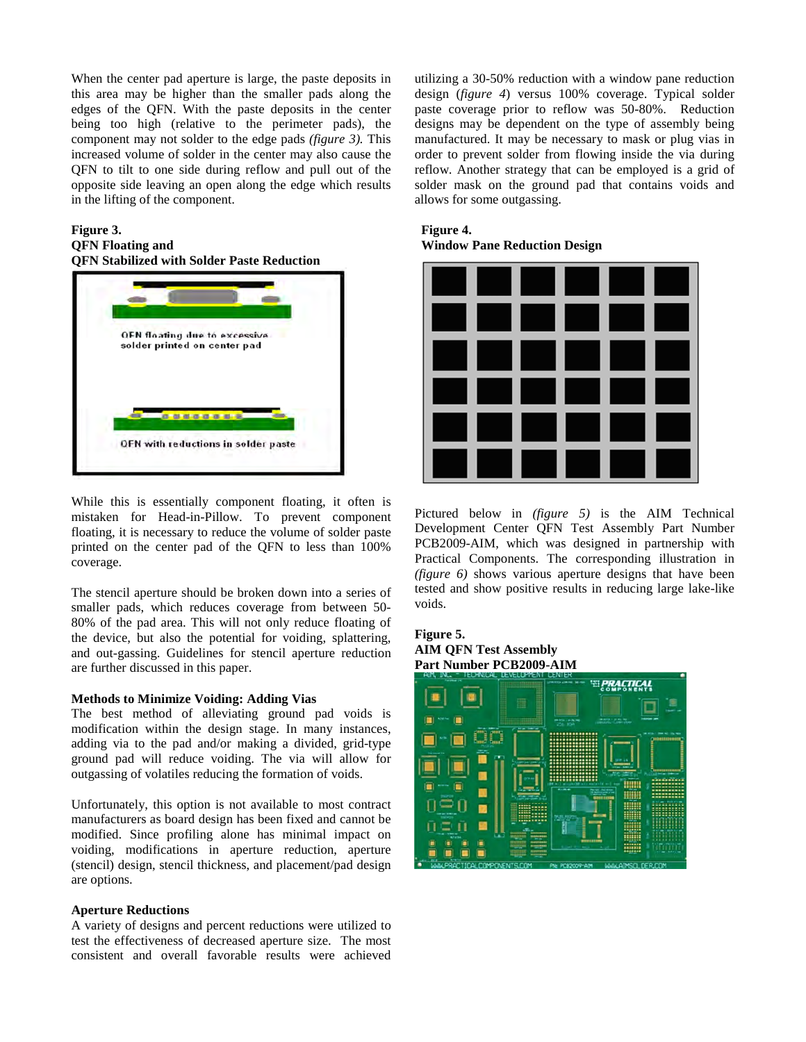When the center pad aperture is large, the paste deposits in this area may be higher than the smaller pads along the edges of the QFN. With the paste deposits in the center being too high (relative to the perimeter pads), the component may not solder to the edge pads *(figure 3).* This increased volume of solder in the center may also cause the QFN to tilt to one side during reflow and pull out of the opposite side leaving an open along the edge which results in the lifting of the component.

### **Figure 3. QFN Floating and QFN Stabilized with Solder Paste Reduction**



While this is essentially component floating, it often is mistaken for Head-in-Pillow. To prevent component floating, it is necessary to reduce the volume of solder paste printed on the center pad of the QFN to less than 100% coverage.

The stencil aperture should be broken down into a series of smaller pads, which reduces coverage from between 50- 80% of the pad area. This will not only reduce floating of the device, but also the potential for voiding, splattering, and out-gassing. Guidelines for stencil aperture reduction are further discussed in this paper.

#### **Methods to Minimize Voiding: Adding Vias**

The best method of alleviating ground pad voids is modification within the design stage. In many instances, adding via to the pad and/or making a divided, grid-type ground pad will reduce voiding. The via will allow for outgassing of volatiles reducing the formation of voids.

Unfortunately, this option is not available to most contract manufacturers as board design has been fixed and cannot be modified. Since profiling alone has minimal impact on voiding, modifications in aperture reduction, aperture (stencil) design, stencil thickness, and placement/pad design are options.

# **Aperture Reductions**

A variety of designs and percent reductions were utilized to test the effectiveness of decreased aperture size. The most consistent and overall favorable results were achieved utilizing a 30-50% reduction with a window pane reduction design (*figure 4*) versus 100% coverage. Typical solder paste coverage prior to reflow was 50-80%. Reduction designs may be dependent on the type of assembly being manufactured. It may be necessary to mask or plug vias in order to prevent solder from flowing inside the via during reflow. Another strategy that can be employed is a grid of solder mask on the ground pad that contains voids and allows for some outgassing.

 **Figure 4. Window Pane Reduction Design** 



Pictured below in *(figure 5)* is the AIM Technical Development Center QFN Test Assembly Part Number PCB2009-AIM, which was designed in partnership with Practical Components. The corresponding illustration in *(figure 6)* shows various aperture designs that have been tested and show positive results in reducing large lake-like voids.

#### **Figure 5. AIM QFN Test Assembly Part Number PCB2009-AIM**

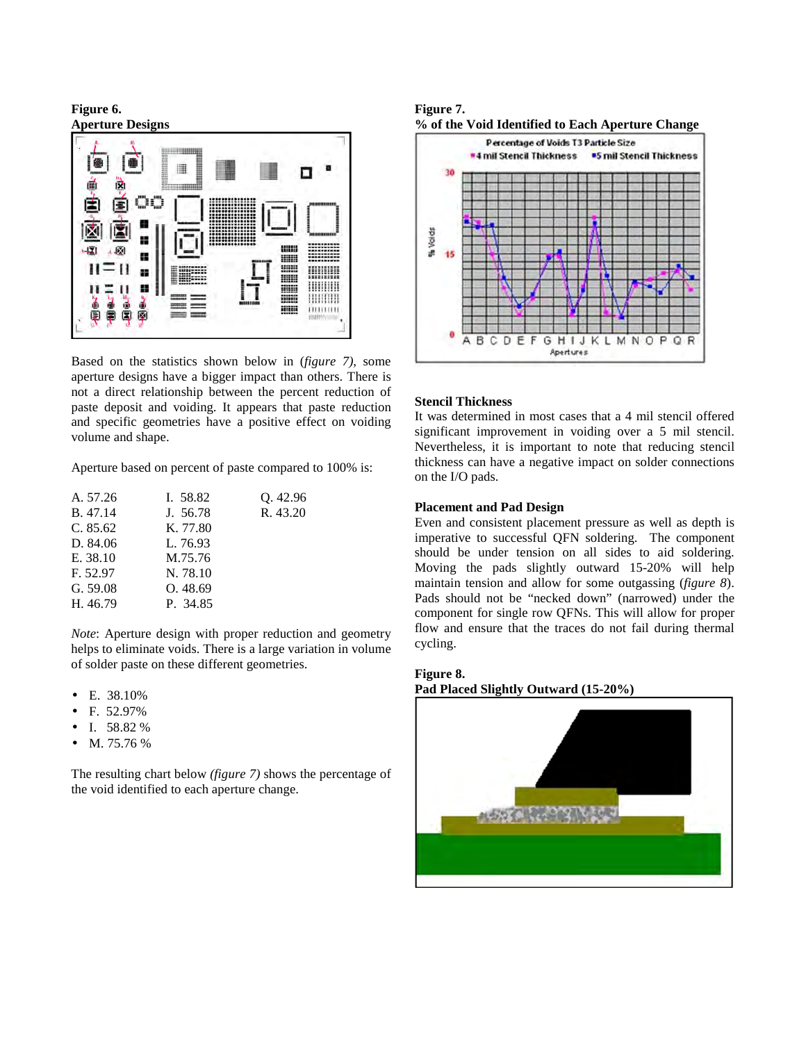**Figure 6. Aperture Designs** 



Based on the statistics shown below in (*figure 7),* some aperture designs have a bigger impact than others. There is not a direct relationship between the percent reduction of paste deposit and voiding. It appears that paste reduction and specific geometries have a positive effect on voiding volume and shape.

Aperture based on percent of paste compared to 100% is:

| A. 57.26 | I. 58.82 | 0.42.96  |
|----------|----------|----------|
| B. 47.14 | J. 56.78 | R. 43.20 |
| C. 85.62 | K. 77.80 |          |
| D. 84.06 | L. 76.93 |          |
| E. 38.10 | M.75.76  |          |
| F. 52.97 | N. 78.10 |          |
| G. 59.08 | O. 48.69 |          |
| H. 46.79 | P. 34.85 |          |
|          |          |          |

*Note*: Aperture design with proper reduction and geometry helps to eliminate voids. There is a large variation in volume of solder paste on these different geometries.

- E. 38.10%
- F. 52.97%
- I. 58.82 %
- M. 75.76 %

The resulting chart below *(figure 7)* shows the percentage of the void identified to each aperture change.

**Figure 7. % of the Void Identified to Each Aperture Change** 



# **Stencil Thickness**

It was determined in most cases that a 4 mil stencil offered significant improvement in voiding over a 5 mil stencil. Nevertheless, it is important to note that reducing stencil thickness can have a negative impact on solder connections on the I/O pads.

# **Placement and Pad Design**

Even and consistent placement pressure as well as depth is imperative to successful QFN soldering. The component should be under tension on all sides to aid soldering. Moving the pads slightly outward 15-20% will help maintain tension and allow for some outgassing (*figure 8*). Pads should not be "necked down" (narrowed) under the component for single row QFNs. This will allow for proper flow and ensure that the traces do not fail during thermal cycling.

### **Figure 8.**

# **Pad Placed Slightly Outward (15-20%)**